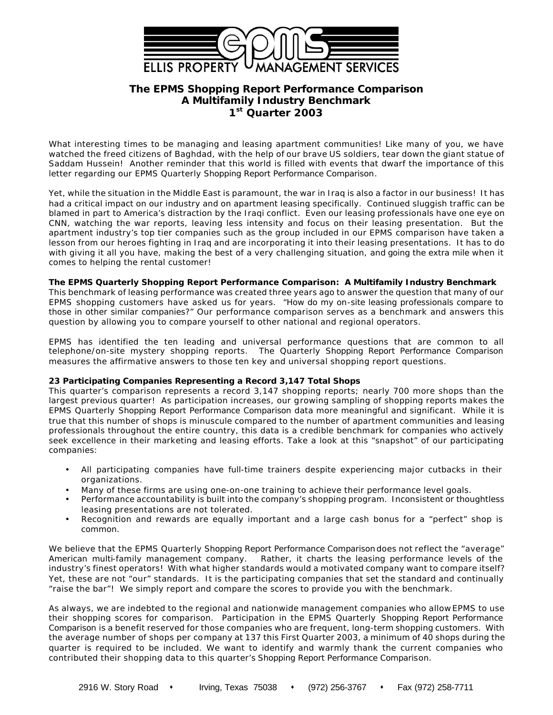

# **The EPMS** *Shopping Report Performance Comparison* **A Multifamily Industry Benchmark 1 st Quarter 2003**

What interesting times to be managing and leasing apartment communities! Like many of you, we have watched the freed citizens of Baghdad, with the help of our brave US soldiers, tear down the giant statue of Saddam Hussein! Another reminder that this world is filled with events that dwarf the importance of this letter regarding our EPMS Quarterly *Shopping Report Performance Comparison*.

Yet, while the situation in the Middle East is paramount, the war in Iraq is also a factor in our business! It has had a critical impact on our industry and on apartment leasing specifically. Continued sluggish traffic can be blamed in part to America's distraction by the Iraqi conflict. Even our leasing professionals have one eye on CNN, watching the war reports, leaving less intensity and focus on their leasing presentation. But the apartment industry's top tier companies such as the group included in our EPMS comparison have taken a lesson from our heroes fighting in Iraq and are incorporating it into their leasing presentations. It has to do with giving it all you have, making the best of a very challenging situation, and *going the extra mile* when it comes to helping the rental customer!

#### **The EPMS Quarterly** *Shopping Report Performance Comparison:* **A Multifamily Industry Benchmark**

This benchmark of leasing performance was created three years ago to answer the question that many of our EPMS shopping customers have asked us for years. *"How do my on-site leasing professionals compare to those in other similar companies?"* Our performance comparison serves as a benchmark and answers this question by allowing you to compare yourself to other national and regional operators.

EPMS has identified the ten leading and universal performance questions that are common to all telephone/on-site mystery shopping reports. The Quarterly *Shopping Report Performance Comparison* measures the affirmative answers to those ten key and universal shopping report questions.

## **23 Participating Companies Representing a Record 3,147 Total Shops**

This quarter's comparison represents a record 3,147 shopping reports; nearly 700 more shops than the largest previous quarter! As participation increases, our growing sampling of shopping reports makes the EPMS Quarterly *Shopping Report Performance Comparison* data more meaningful and significant. While it is true that this number of shops is minuscule compared to the number of apartment communities and leasing professionals throughout the entire country, this data is a credible benchmark for companies who actively seek excellence in their marketing and leasing efforts. Take a look at this "snapshot" of our participating companies:

- All participating companies have full-time trainers despite experiencing major cutbacks in their organizations.
- Many of these firms are using one-on-one training to achieve their performance level goals.
- Performance accountability is built into the company's shopping program. Inconsistent or thoughtless leasing presentations are not tolerated.
- Recognition and rewards are equally important and a large cash bonus for a "perfect" shop is common.

We believe that the EPMS Quarterly *Shopping Report Performance Comparison* does not reflect the "average" American multi-family management company. Rather, it charts the leasing performance levels of the industry's finest operators! With what higher standards would a motivated company want to compare itself? Yet, these are not "our" standards. It is the participating companies that set the standard and continually "raise the bar"! We simply report and compare the scores to provide you with the benchmark.

As always, we are indebted to the regional and nationwide management companies who allow EPMS to use their shopping scores for comparison. Participation in the EPMS Quarterly *Shopping Report Performance Comparison* is a benefit reserved for those companies who are frequent, long-term shopping customers. With the average number of shops per company at 137 this First Quarter 2003, a minimum of 40 shops during the quarter is required to be included. We want to identify and warmly thank the current companies who contributed their shopping data to this quarter's *Shopping Report Performance Comparison.*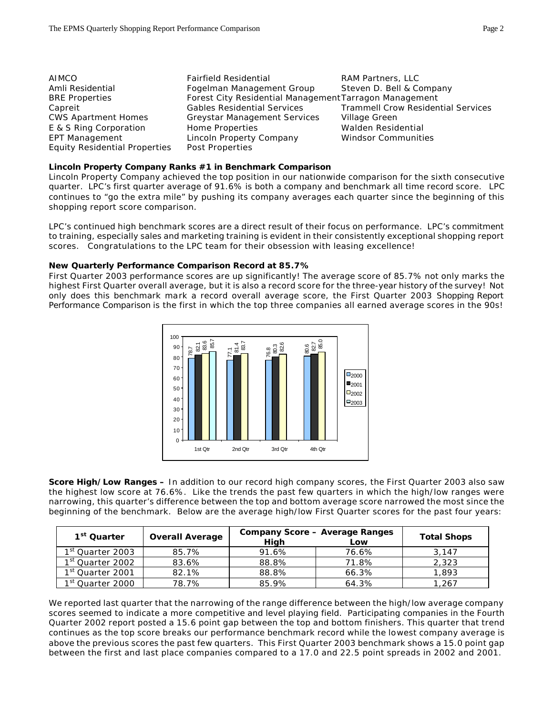| AIMCO                                | <b>Fairfield Residential</b>                           | RAM Partners, LLC                         |
|--------------------------------------|--------------------------------------------------------|-------------------------------------------|
| Amli Residential                     | Fogelman Management Group                              | Steven D. Bell & Company                  |
| <b>BRE</b> Properties                | Forest City Residential Management Tarragon Management |                                           |
| Capreit                              | <b>Gables Residential Services</b>                     | <b>Trammell Crow Residential Services</b> |
| <b>CWS Apartment Homes</b>           | <b>Greystar Management Services</b>                    | Village Green                             |
| E & S Ring Corporation               | Home Properties                                        | Walden Residential                        |
| <b>EPT Management</b>                | Lincoln Property Company                               | <b>Windsor Communities</b>                |
| <b>Equity Residential Properties</b> | Post Properties                                        |                                           |

#### **Lincoln Property Company Ranks #1 in Benchmark Comparison**

Lincoln Property Company achieved the top position in our nationwide comparison for the sixth consecutive quarter. LPC's first quarter average of 91.6% is both a company and benchmark all time record score. LPC continues to "go the extra mile" by pushing its company averages each quarter since the beginning of this shopping report score comparison.

LPC's continued high benchmark scores are a direct result of their focus on performance. LPC's commitment to training, especially sales and marketing training is evident in their consistently exceptional shopping report scores. Congratulations to the LPC team for their obsession with leasing excellence!

## **New Quarterly Performance Comparison Record at 85.7%**

First Quarter 2003 performance scores are up significantly! The average score of 85.7% not only marks the highest First Quarter overall average, but it is also a record score for the three-year history of the survey! Not only does this benchmark mark a record overall average score, the First Quarter 2003 *Shopping Report Performance Comparison* is the first in which the top three companies all earned average scores in the 90s!



**Score High/Low Ranges –** In addition to our record high company scores, the First Quarter 2003 also saw the highest low score at 76.6%. Like the trends the past few quarters in which the high/low ranges were narrowing, this quarter's difference between the top and bottom average score narrowed the most since the beginning of the benchmark. Below are the average high/low First Quarter scores for the past four years:

| 1 <sup>st</sup> Quarter      | <b>Overall Average</b> | <b>Company Score - Average Ranges</b><br>High<br>Low |       |       |  |  |  |  |
|------------------------------|------------------------|------------------------------------------------------|-------|-------|--|--|--|--|
| 1 <sup>st</sup> Quarter 2003 | 85.7%                  | 91.6%                                                | 76.6% | 3.147 |  |  |  |  |
| 1st Quarter 2002             | 83.6%                  | 88.8%                                                | 71.8% | 2,323 |  |  |  |  |
| 1st Quarter 2001             | 82.1%                  | 88.8%                                                | 66.3% | 1,893 |  |  |  |  |
| 1 <sup>st</sup> Quarter 2000 | 78.7%                  | 85.9%                                                | 64.3% | 1,267 |  |  |  |  |

We reported last quarter that the narrowing of the range difference between the high/low average company scores seemed to indicate a more competitive and level playing field. Participating companies in the Fourth Quarter 2002 report posted a 15.6 point gap between the top and bottom finishers. This quarter that trend continues as the top score breaks our performance benchmark record while the lowest company average is above the previous scores the past few quarters. This First Quarter 2003 benchmark shows a 15.0 point gap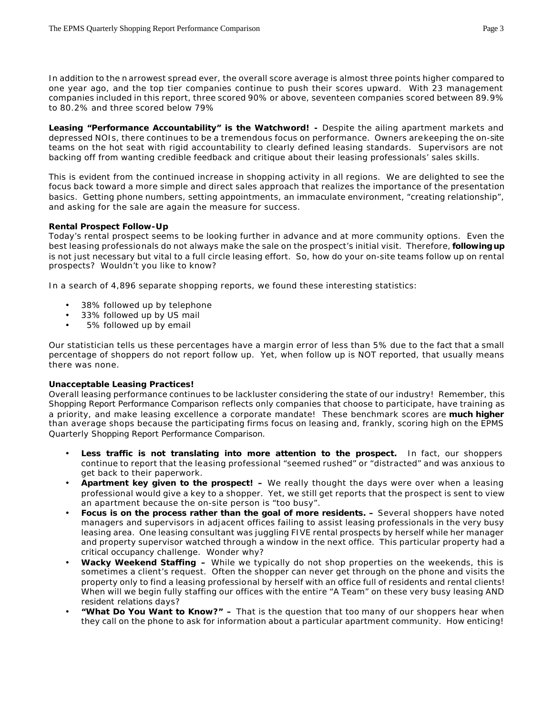In addition to the n arrowest spread ever, the overall score average is almost three points higher compared to one year ago, and the top tier companies continue to push their scores upward. With 23 management companies included in this report, three scored 90% or above, seventeen companies scored between 89.9% to 80.2% and three scored below 79%

**Leasing "Performance Accountability" is the Watchword! -** Despite the ailing apartment markets and depressed NOIs, there continues to be a tremendous focus on performance. Owners are keeping the on-site teams on the hot seat with rigid accountability to clearly defined leasing standards. Supervisors are not backing off from wanting credible feedback and critique about their leasing professionals' sales skills.

This is evident from the continued increase in shopping activity in all regions. We are delighted to see the focus back toward a more simple and direct sales approach that realizes the importance of the presentation basics. Getting phone numbers, setting appointments, an immaculate environment, "creating relationship", and asking for the sale are again the measure for success.

## **Rental Prospect Follow-Up**

Today's rental prospect seems to be looking further in advance and at more community options. Even the best leasing professionals do not always make the sale on the prospect's initial visit. Therefore, *following up* is not just necessary but vital to a full circle leasing effort. So, how do your on-site teams follow up on rental prospects? Wouldn't you like to know?

In a search of 4,896 separate shopping reports, we found these interesting statistics:

- 38% followed up by telephone
- 33% followed up by US mail
- 5% followed up by email

Our statistician tells us these percentages have a margin error of less than 5% due to the fact that a small percentage of shoppers do not report follow up. Yet, when follow up is NOT reported, that usually means there was none.

## **Unacceptable Leasing Practices!**

Overall leasing performance continues to be lackluster considering the state of our industry! Remember, this *Shopping Report Performance Comparison* reflects only companies that choose to participate, have training as a priority, and make leasing excellence a corporate mandate! These benchmark scores are **much higher** than average shops because the participating firms focus on leasing and, frankly, scoring high on the EPMS Quarterly *Shopping Report Performance Comparison.*

- Less traffic is not translating into more attention to the prospect. In fact, our shoppers continue to report that the leasing professional "seemed rushed" or "distracted" and was anxious to get back to their paperwork.
- **Apartment key given to the prospect! –** We really thought the days were over when a leasing professional would give a key to a shopper. Yet, we still get reports that the prospect is sent to view an apartment because the on-site person is "too busy".
- **Focus is on the process rather than the goal of more residents. –** Several shoppers have noted managers and supervisors in adjacent offices failing to assist leasing professionals in the very busy leasing area. One leasing consultant was juggling FIVE rental prospects by herself while her manager and property supervisor watched through a window in the next office. This particular property had a critical occupancy challenge. Wonder why?
- **Wacky Weekend Staffing –** While we typically do not shop properties on the weekends, this is sometimes a client's request. Often the shopper can never get through on the phone and visits the property only to find a leasing professional by herself with an office full of residents and rental clients! When will we begin fully staffing our offices with the entire "A Team" on these very busy leasing AND *resident relations* days?
- **"What Do You Want to Know?" –** That is the question that too many of our shoppers hear when they call on the phone to ask for information about a particular apartment community. How enticing!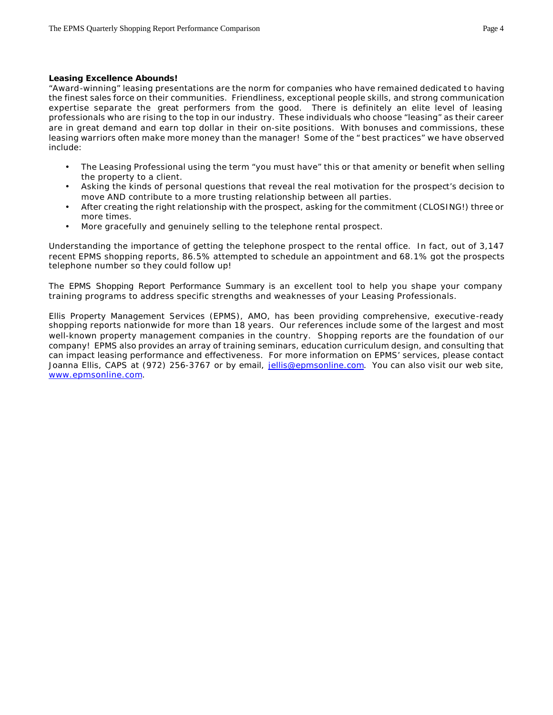#### **Leasing Excellence Abounds!**

"Award-winning" leasing presentations are the norm for companies who have remained dedicated to having the finest sales force on their communities. Friendliness, exceptional people skills, and strong communication expertise separate the *great* performers from the good. There is definitely an elite level of leasing professionals who are rising to the top in our industry. These individuals who choose "leasing" as their career are in great demand and earn top dollar in their on-site positions. With bonuses and commissions, these leasing warriors often make more money than the manager! Some of the " best practices" we have observed include:

- The Leasing Professional using the term "you must have" this or that amenity or benefit when selling the property to a client.
- Asking the kinds of personal questions that reveal the real motivation for the prospect's decision to move AND contribute to a more trusting relationship between all parties.
- After creating the right relationship with the prospect, asking for the commitment (CLOSING!) three or more times.
- More gracefully and genuinely selling to the telephone rental prospect.

Understanding the importance of getting the telephone prospect to the rental office. In fact, out of 3,147 recent EPMS shopping reports, 86.5% attempted to schedule an appointment and 68.1% got the prospects telephone number so they could follow up!

The *EPMS Shopping Report Performance Summary* is an excellent tool to help you shape your company training programs to address specific strengths and weaknesses of your Leasing Professionals.

Ellis Property Management Services (EPMS), AMO, has been providing comprehensive, executive-ready shopping reports nationwide for more than 18 years. Our references include some of the largest and most well-known property management companies in the country. Shopping reports are the foundation of our company! EPMS also provides an array of training seminars, education curriculum design, and consulting that can impact leasing performance and effectiveness. For more information on EPMS' services, please contact Joanna Ellis, CAPS at (972) 256-3767 or by email, jellis@epmsonline.com. You can also visit our web site, www.epmsonline.com.